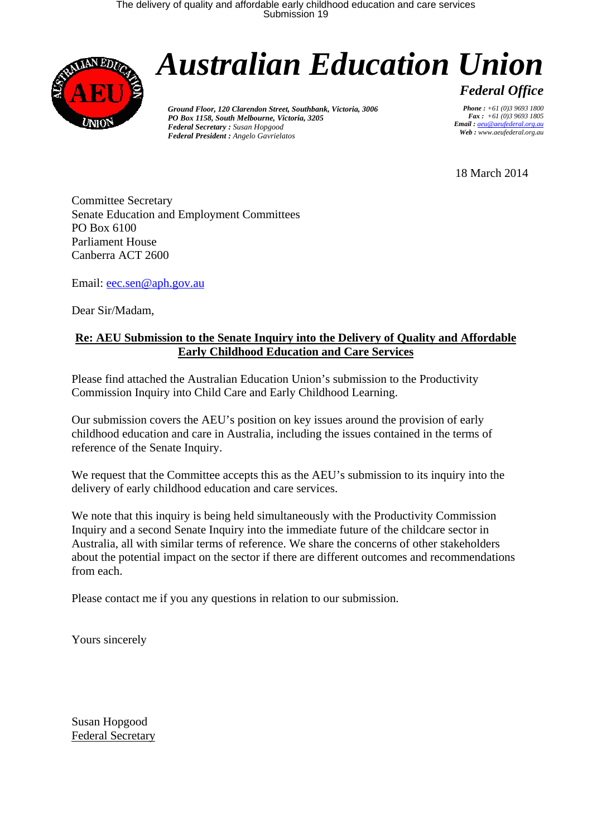

# *Australian Education Union*

*Ground Floor, 120 Clarendon Street, Southbank, Victoria, 3006 PO Box 1158, South Melbourne, Victoria, 3205 Federal Secretary : Susan Hopgood Federal President : Angelo Gavrielatos*

*Federal Office Phone : +61 (0)3 9693 1800 Fax : +61 (0)3 9693 1805 Email : aeu@aeufederal.org.au*

*Web : www.aeufederal.org.au*

18 March 2014

Committee Secretary Senate Education and Employment Committees PO Box 6100 Parliament House Canberra ACT 2600

Email: eec.sen@aph.gov.au

Dear Sir/Madam,

#### **Re: AEU Submission to the Senate Inquiry into the Delivery of Quality and Affordable Early Childhood Education and Care Services**

Please find attached the Australian Education Union's submission to the Productivity Commission Inquiry into Child Care and Early Childhood Learning.

Our submission covers the AEU's position on key issues around the provision of early childhood education and care in Australia, including the issues contained in the terms of reference of the Senate Inquiry.

We request that the Committee accepts this as the AEU's submission to its inquiry into the delivery of early childhood education and care services.

We note that this inquiry is being held simultaneously with the Productivity Commission Inquiry and a second Senate Inquiry into the immediate future of the childcare sector in Australia, all with similar terms of reference. We share the concerns of other stakeholders about the potential impact on the sector if there are different outcomes and recommendations from each.

Please contact me if you any questions in relation to our submission.

Yours sincerely

Susan Hopgood Federal Secretary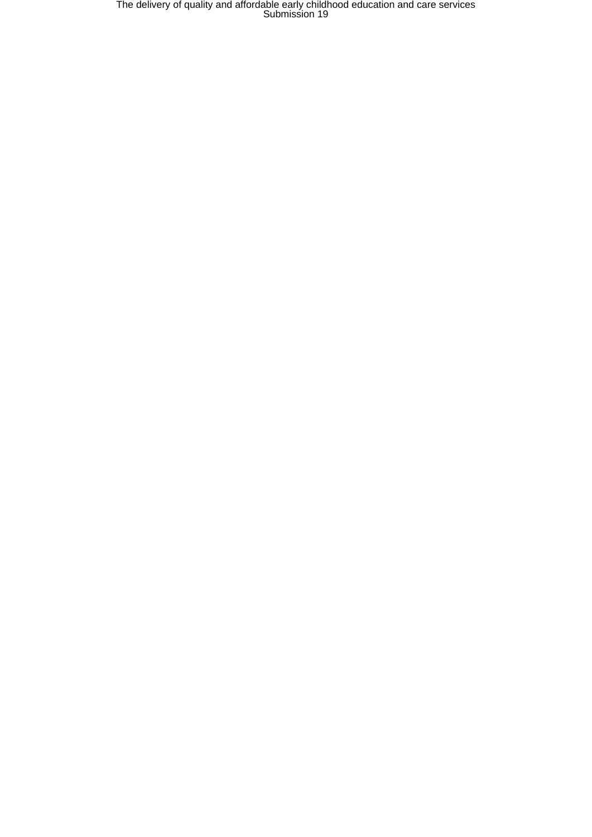The delivery of quality and affordable early childhood education and care services Submission 19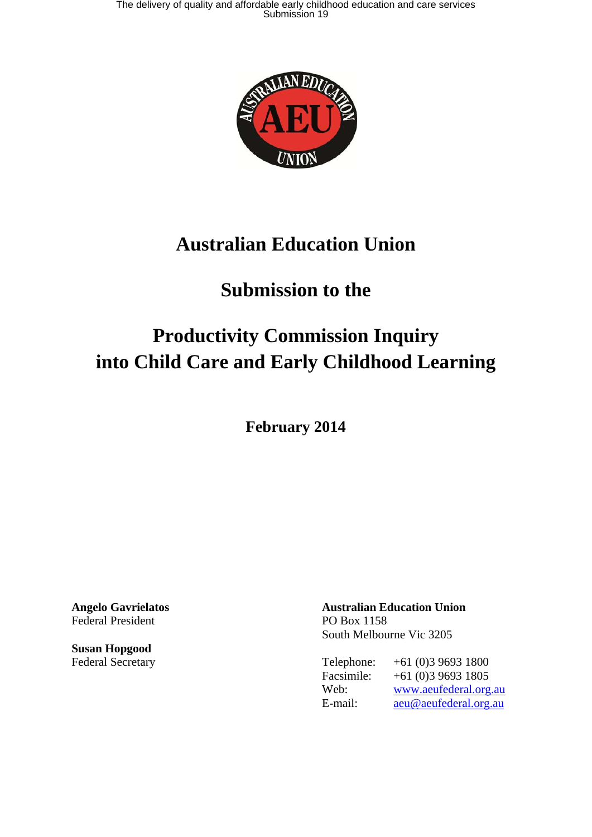

# **Australian Education Union**

# **Submission to the**

# **Productivity Commission Inquiry into Child Care and Early Childhood Learning**

**February 2014** 

Federal President PO Box 1158

**Susan Hopgood** 

### **Angelo Gavrielatos Australian Education Union**

South Melbourne Vic 3205

Federal Secretary Telephone: +61 (0)3 9693 1800 Facsimile: +61 (0)3 9693 1805 Web: www.aeufederal.org.au E-mail: aeu@aeufederal.org.au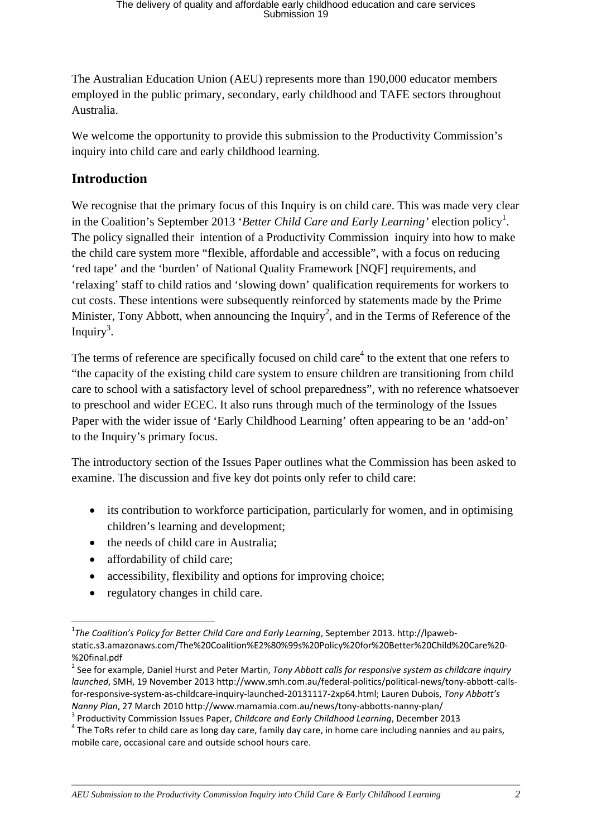The Australian Education Union (AEU) represents more than 190,000 educator members employed in the public primary, secondary, early childhood and TAFE sectors throughout Australia.

We welcome the opportunity to provide this submission to the Productivity Commission's inquiry into child care and early childhood learning.

### **Introduction**

We recognise that the primary focus of this Inquiry is on child care. This was made very clear in the Coalition's September 2013 'Better Child Care and Early Learning' election policy<sup>1</sup>. The policy signalled their intention of a Productivity Commission inquiry into how to make the child care system more "flexible, affordable and accessible", with a focus on reducing 'red tape' and the 'burden' of National Quality Framework [NQF] requirements, and 'relaxing' staff to child ratios and 'slowing down' qualification requirements for workers to cut costs. These intentions were subsequently reinforced by statements made by the Prime Minister, Tony Abbott, when announcing the Inquiry<sup>2</sup>, and in the Terms of Reference of the Inquiry<sup>3</sup>.

The terms of reference are specifically focused on child care<sup>4</sup> to the extent that one refers to "the capacity of the existing child care system to ensure children are transitioning from child care to school with a satisfactory level of school preparedness", with no reference whatsoever to preschool and wider ECEC. It also runs through much of the terminology of the Issues Paper with the wider issue of 'Early Childhood Learning' often appearing to be an 'add-on' to the Inquiry's primary focus.

The introductory section of the Issues Paper outlines what the Commission has been asked to examine. The discussion and five key dot points only refer to child care:

- its contribution to workforce participation, particularly for women, and in optimising children's learning and development;
- the needs of child care in Australia;
- affordability of child care;

- accessibility, flexibility and options for improving choice;
- regulatory changes in child care.

<sup>1</sup> *The Coalition's Policy for Better Child Care and Early Learning*, September 2013. http://lpaweb‐ static.s3.amazonaws.com/The%20Coalition%E2%80%99s%20Policy%20for%20Better%20Child%20Care%20‐ %20final.pdf

<sup>2</sup> See for example, Daniel Hurst and Peter Martin, *Tony Abbott calls for responsive system as childcare inquiry launched*, SMH, 19 November 2013 http://www.smh.com.au/federal‐politics/political‐news/tony‐abbott‐calls‐ for‐responsive‐system‐as‐childcare‐inquiry‐launched‐20131117‐2xp64.html; Lauren Dubois, *Tony Abbott's* Nanny Plan, 27 March 2010 http://www.mamamia.com.au/news/tony-abbotts-nanny-plan/<br><sup>3</sup> Productivity Commission Issues Paper, *Childcare and Early Childhood Learning*, December 2013<br><sup>4</sup> The ToRs refer to child care as long d

mobile care, occasional care and outside school hours care.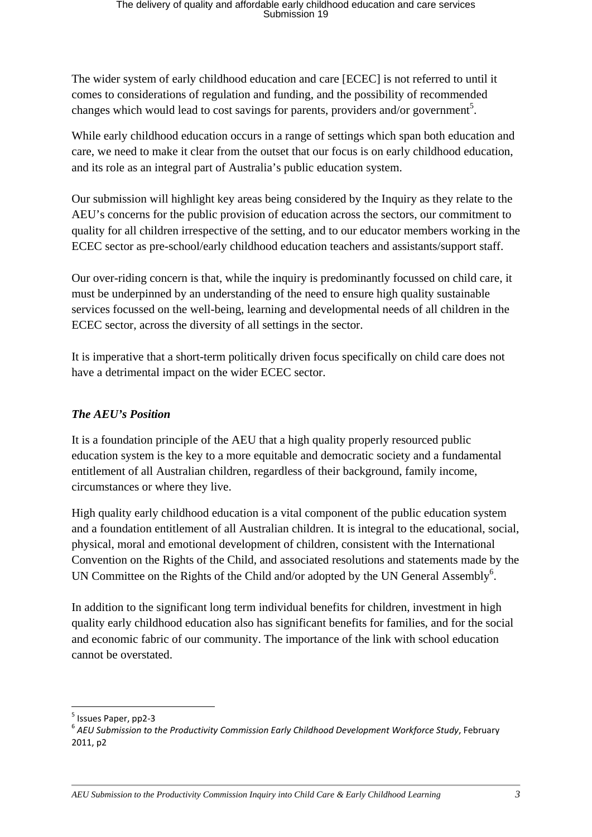The wider system of early childhood education and care [ECEC] is not referred to until it comes to considerations of regulation and funding, and the possibility of recommended changes which would lead to cost savings for parents, providers and/or government<sup>5</sup>.

While early childhood education occurs in a range of settings which span both education and care, we need to make it clear from the outset that our focus is on early childhood education, and its role as an integral part of Australia's public education system.

Our submission will highlight key areas being considered by the Inquiry as they relate to the AEU's concerns for the public provision of education across the sectors, our commitment to quality for all children irrespective of the setting, and to our educator members working in the ECEC sector as pre-school/early childhood education teachers and assistants/support staff.

Our over-riding concern is that, while the inquiry is predominantly focussed on child care, it must be underpinned by an understanding of the need to ensure high quality sustainable services focussed on the well-being, learning and developmental needs of all children in the ECEC sector, across the diversity of all settings in the sector.

It is imperative that a short-term politically driven focus specifically on child care does not have a detrimental impact on the wider ECEC sector.

#### *The AEU's Position*

It is a foundation principle of the AEU that a high quality properly resourced public education system is the key to a more equitable and democratic society and a fundamental entitlement of all Australian children, regardless of their background, family income, circumstances or where they live.

High quality early childhood education is a vital component of the public education system and a foundation entitlement of all Australian children. It is integral to the educational, social, physical, moral and emotional development of children, consistent with the International Convention on the Rights of the Child, and associated resolutions and statements made by the UN Committee on the Rights of the Child and/or adopted by the UN General Assembly<sup>6</sup>.

In addition to the significant long term individual benefits for children, investment in high quality early childhood education also has significant benefits for families, and for the social and economic fabric of our community. The importance of the link with school education cannot be overstated.

<sup>5</sup> Issues Paper, pp2‐<sup>3</sup> <sup>6</sup> *AEU Submission to the Productivity Commission Early Childhood Development Workforce Study*, February 2011, p2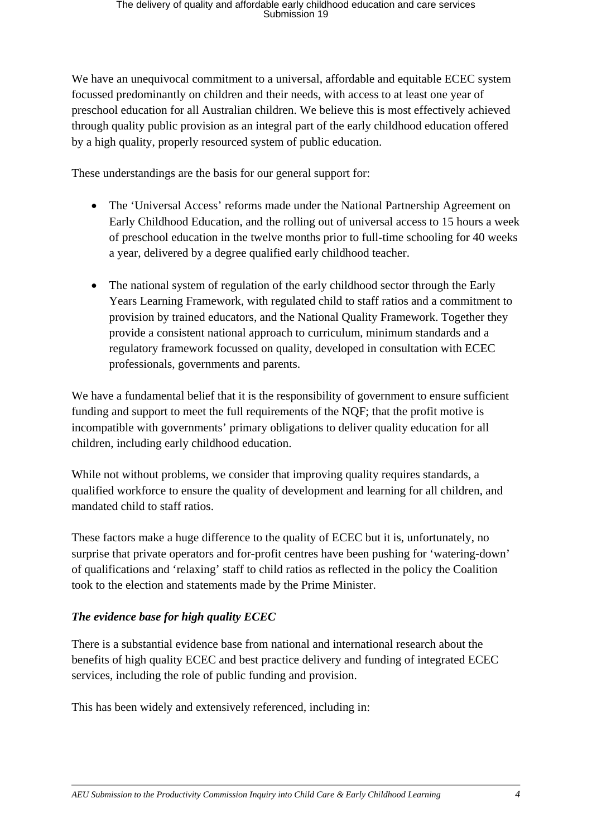We have an unequivocal commitment to a universal, affordable and equitable ECEC system focussed predominantly on children and their needs, with access to at least one year of preschool education for all Australian children. We believe this is most effectively achieved through quality public provision as an integral part of the early childhood education offered by a high quality, properly resourced system of public education.

These understandings are the basis for our general support for:

- The 'Universal Access' reforms made under the National Partnership Agreement on Early Childhood Education, and the rolling out of universal access to 15 hours a week of preschool education in the twelve months prior to full-time schooling for 40 weeks a year, delivered by a degree qualified early childhood teacher.
- The national system of regulation of the early childhood sector through the Early Years Learning Framework, with regulated child to staff ratios and a commitment to provision by trained educators, and the National Quality Framework. Together they provide a consistent national approach to curriculum, minimum standards and a regulatory framework focussed on quality, developed in consultation with ECEC professionals, governments and parents.

We have a fundamental belief that it is the responsibility of government to ensure sufficient funding and support to meet the full requirements of the NQF; that the profit motive is incompatible with governments' primary obligations to deliver quality education for all children, including early childhood education.

While not without problems, we consider that improving quality requires standards, a qualified workforce to ensure the quality of development and learning for all children, and mandated child to staff ratios.

These factors make a huge difference to the quality of ECEC but it is, unfortunately, no surprise that private operators and for-profit centres have been pushing for 'watering-down' of qualifications and 'relaxing' staff to child ratios as reflected in the policy the Coalition took to the election and statements made by the Prime Minister.

### *The evidence base for high quality ECEC*

There is a substantial evidence base from national and international research about the benefits of high quality ECEC and best practice delivery and funding of integrated ECEC services, including the role of public funding and provision.

This has been widely and extensively referenced, including in: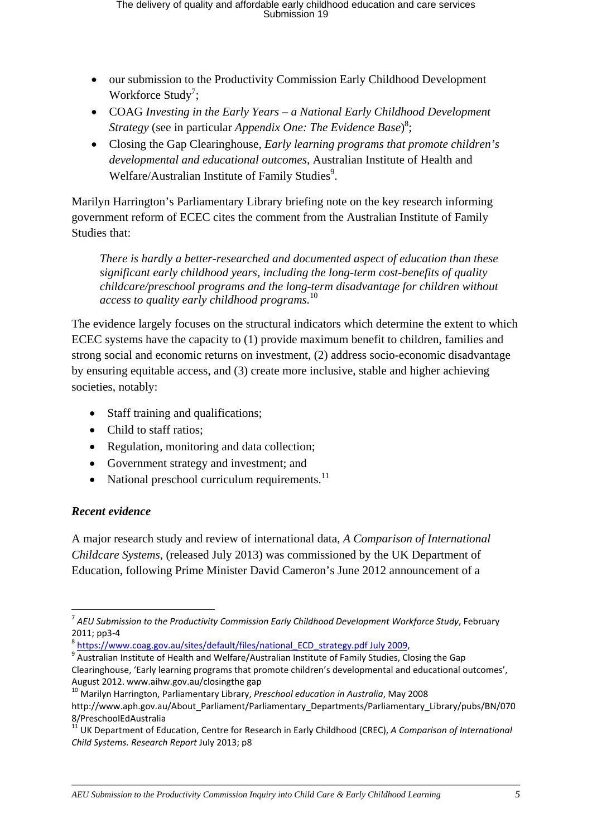- our submission to the Productivity Commission Early Childhood Development Workforce Study<sup>7</sup>;
- COAG *Investing in the Early Years a National Early Childhood Development*  Strategy (see in particular *Appendix One: The Evidence Base*)<sup>8</sup>;
- Closing the Gap Clearinghouse, *Early learning programs that promote children's developmental and educational outcomes*, Australian Institute of Health and Welfare/Australian Institute of Family Studies<sup>9</sup>.

Marilyn Harrington's Parliamentary Library briefing note on the key research informing government reform of ECEC cites the comment from the Australian Institute of Family Studies that:

*There is hardly a better-researched and documented aspect of education than these significant early childhood years, including the long-term cost-benefits of quality childcare/preschool programs and the long-term disadvantage for children without access to quality early childhood programs.*<sup>10</sup>

The evidence largely focuses on the structural indicators which determine the extent to which ECEC systems have the capacity to (1) provide maximum benefit to children, families and strong social and economic returns on investment, (2) address socio-economic disadvantage by ensuring equitable access, and (3) create more inclusive, stable and higher achieving societies, notably:

- Staff training and qualifications;
- Child to staff ratios;

- Regulation, monitoring and data collection;
- Government strategy and investment; and
- National preschool curriculum requirements. $^{11}$

#### *Recent evidence*

A major research study and review of international data, *A Comparison of International Childcare Systems*, (released July 2013) was commissioned by the UK Department of Education, following Prime Minister David Cameron's June 2012 announcement of a

<sup>7</sup> *AEU Submission to the Productivity Commission Early Childhood Development Workforce Study*, February

<sup>2011;</sup> pp3-4 8 https://www.coag.gov.au/sites/default/files/national\_ECD\_strategy.pdf July 2009, 9 Australian Institute of Health and Welfare/Australian Institute of Health and Welfare/Australian Institute of Family Studie Clearinghouse, 'Early learning programs that promote children's developmental and educational outcomes',

<sup>&</sup>lt;sup>10</sup> Marilyn Harrington, Parliamentary Library, Preschool education in Australia, May 2008 http://www.aph.gov.au/About\_Parliament/Parliamentary\_Departments/Parliamentary\_Library/pubs/BN/070 8/PreschoolEdAustralia

<sup>11</sup> UK Department of Education, Centre for Research in Early Childhood (CREC), *A Comparison of International Child Systems. Research Report* July 2013; p8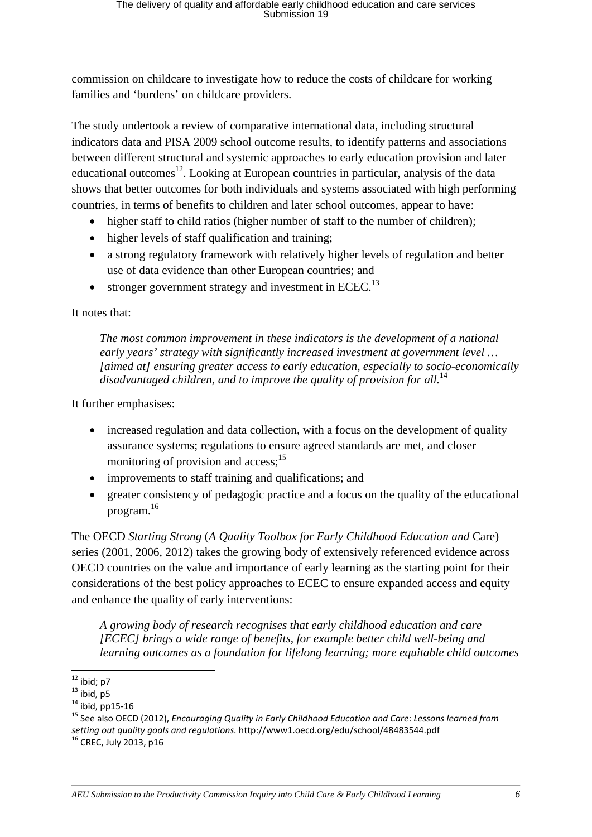commission on childcare to investigate how to reduce the costs of childcare for working families and 'burdens' on childcare providers.

The study undertook a review of comparative international data, including structural indicators data and PISA 2009 school outcome results, to identify patterns and associations between different structural and systemic approaches to early education provision and later educational outcomes<sup>12</sup>. Looking at European countries in particular, analysis of the data shows that better outcomes for both individuals and systems associated with high performing countries, in terms of benefits to children and later school outcomes, appear to have:

- higher staff to child ratios (higher number of staff to the number of children);
- higher levels of staff qualification and training;
- a strong regulatory framework with relatively higher levels of regulation and better use of data evidence than other European countries; and
- stronger government strategy and investment in ECEC.<sup>13</sup>

#### It notes that:

*The most common improvement in these indicators is the development of a national early years' strategy with significantly increased investment at government level … [aimed at] ensuring greater access to early education, especially to socio-economically disadvantaged children, and to improve the quality of provision for all.*<sup>14</sup>

It further emphasises:

- increased regulation and data collection, with a focus on the development of quality assurance systems; regulations to ensure agreed standards are met, and closer monitoring of provision and access;<sup>15</sup>
- improvements to staff training and qualifications; and
- greater consistency of pedagogic practice and a focus on the quality of the educational program.<sup>16</sup>

The OECD *Starting Strong* (*A Quality Toolbox for Early Childhood Education and* Care) series (2001, 2006, 2012) takes the growing body of extensively referenced evidence across OECD countries on the value and importance of early learning as the starting point for their considerations of the best policy approaches to ECEC to ensure expanded access and equity and enhance the quality of early interventions:

*A growing body of research recognises that early childhood education and care [ECEC] brings a wide range of benefits, for example better child well-being and learning outcomes as a foundation for lifelong learning; more equitable child outcomes* 

<sup>12</sup> ibid; p7 <sup>13</sup> ibid, p5 <sup>14</sup> ibid, pp15‐<sup>16</sup> <sup>15</sup> See also OECD (2012), *Encouraging Quality in Early Childhood Education and Care*: *Lessons learned from*

*setting out quality goals and regulations.* http://www1.oecd.org/edu/school/48483544.pdf <sup>16</sup> CREC, July 2013, p16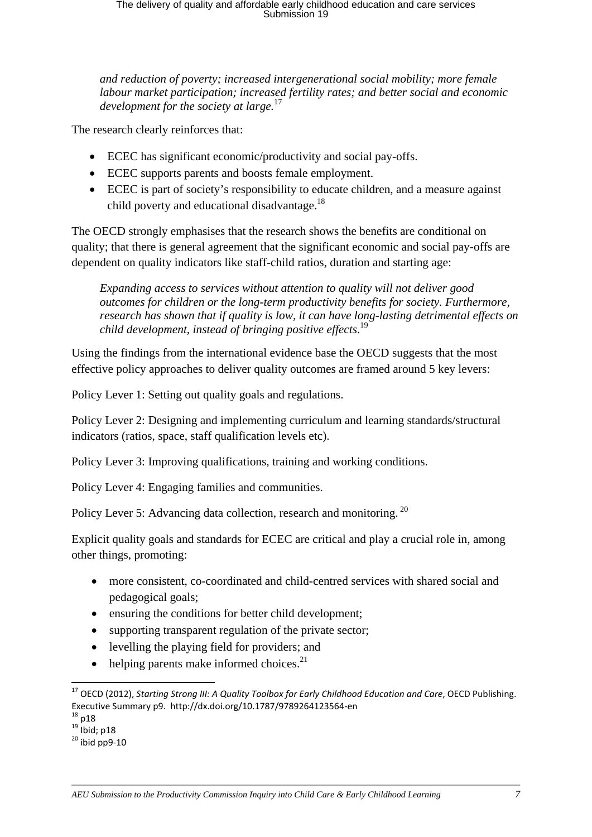*and reduction of poverty; increased intergenerational social mobility; more female labour market participation; increased fertility rates; and better social and economic development for the society at large.*<sup>17</sup>

The research clearly reinforces that:

- ECEC has significant economic/productivity and social pay-offs.
- ECEC supports parents and boosts female employment.
- ECEC is part of society's responsibility to educate children, and a measure against child poverty and educational disadvantage.<sup>18</sup>

The OECD strongly emphasises that the research shows the benefits are conditional on quality; that there is general agreement that the significant economic and social pay-offs are dependent on quality indicators like staff-child ratios, duration and starting age:

*Expanding access to services without attention to quality will not deliver good outcomes for children or the long-term productivity benefits for society. Furthermore, research has shown that if quality is low, it can have long-lasting detrimental effects on child development, instead of bringing positive effects*. 19

Using the findings from the international evidence base the OECD suggests that the most effective policy approaches to deliver quality outcomes are framed around 5 key levers:

Policy Lever 1: Setting out quality goals and regulations.

Policy Lever 2: Designing and implementing curriculum and learning standards/structural indicators (ratios, space, staff qualification levels etc).

Policy Lever 3: Improving qualifications, training and working conditions.

Policy Lever 4: Engaging families and communities.

Policy Lever 5: Advancing data collection, research and monitoring.<sup>20</sup>

Explicit quality goals and standards for ECEC are critical and play a crucial role in, among other things, promoting:

- more consistent, co-coordinated and child-centred services with shared social and pedagogical goals;
- ensuring the conditions for better child development;
- supporting transparent regulation of the private sector;
- levelling the playing field for providers; and
- $\bullet$  helping parents make informed choices.<sup>21</sup>

 <sup>17</sup> OECD (2012), *Starting Strong III: A Quality Toolbox for Early Childhood Education and Care*, OECD Publishing. Executive Summary p9. http://dx.doi.org/10.1787/9789264123564-en<br>
<sup>18</sup> p18<br>
<sup>19</sup> Ibid; p18<br>
<sup>20</sup> ibid pp9-10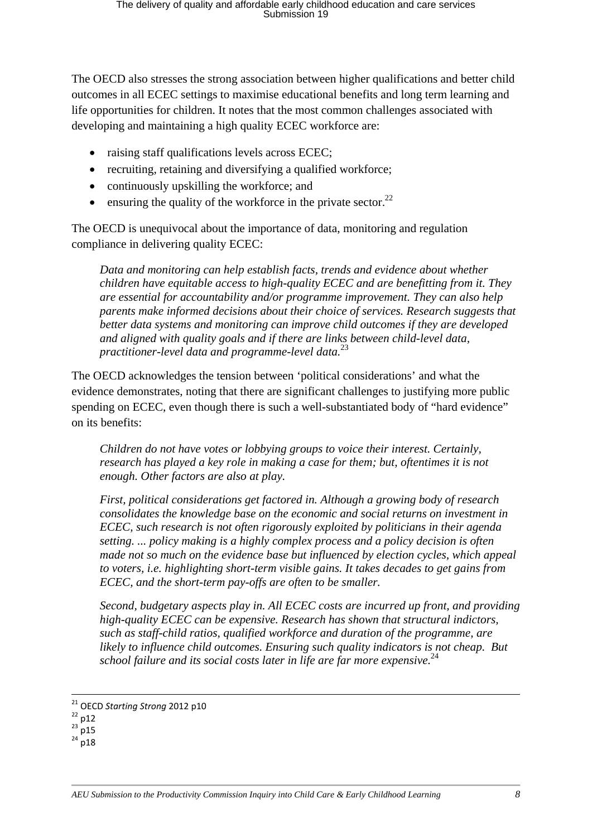The OECD also stresses the strong association between higher qualifications and better child outcomes in all ECEC settings to maximise educational benefits and long term learning and life opportunities for children. It notes that the most common challenges associated with developing and maintaining a high quality ECEC workforce are:

- raising staff qualifications levels across ECEC;
- recruiting, retaining and diversifying a qualified workforce;
- continuously upskilling the workforce; and
- **e** ensuring the quality of the workforce in the private sector.<sup>22</sup>

The OECD is unequivocal about the importance of data, monitoring and regulation compliance in delivering quality ECEC:

*Data and monitoring can help establish facts, trends and evidence about whether children have equitable access to high-quality ECEC and are benefitting from it. They are essential for accountability and/or programme improvement. They can also help parents make informed decisions about their choice of services. Research suggests that better data systems and monitoring can improve child outcomes if they are developed and aligned with quality goals and if there are links between child-level data, practitioner-level data and programme-level data.*<sup>23</sup>

The OECD acknowledges the tension between 'political considerations' and what the evidence demonstrates, noting that there are significant challenges to justifying more public spending on ECEC, even though there is such a well-substantiated body of "hard evidence" on its benefits:

*Children do not have votes or lobbying groups to voice their interest. Certainly, research has played a key role in making a case for them; but, oftentimes it is not enough. Other factors are also at play.* 

*First, political considerations get factored in. Although a growing body of research consolidates the knowledge base on the economic and social returns on investment in ECEC, such research is not often rigorously exploited by politicians in their agenda setting. ... policy making is a highly complex process and a policy decision is often made not so much on the evidence base but influenced by election cycles, which appeal to voters, i.e. highlighting short-term visible gains. It takes decades to get gains from ECEC, and the short-term pay-offs are often to be smaller.* 

*Second, budgetary aspects play in. All ECEC costs are incurred up front, and providing high-quality ECEC can be expensive. Research has shown that structural indictors, such as staff-child ratios, qualified workforce and duration of the programme, are likely to influence child outcomes. Ensuring such quality indicators is not cheap. But school failure and its social costs later in life are far more expensive.*<sup>24</sup>

<sup>&</sup>lt;sup>21</sup> OECD *Starting Strong* 2012 p10<br><sup>22</sup> p12<br><sup>23</sup> p15<br><sup>24</sup> p18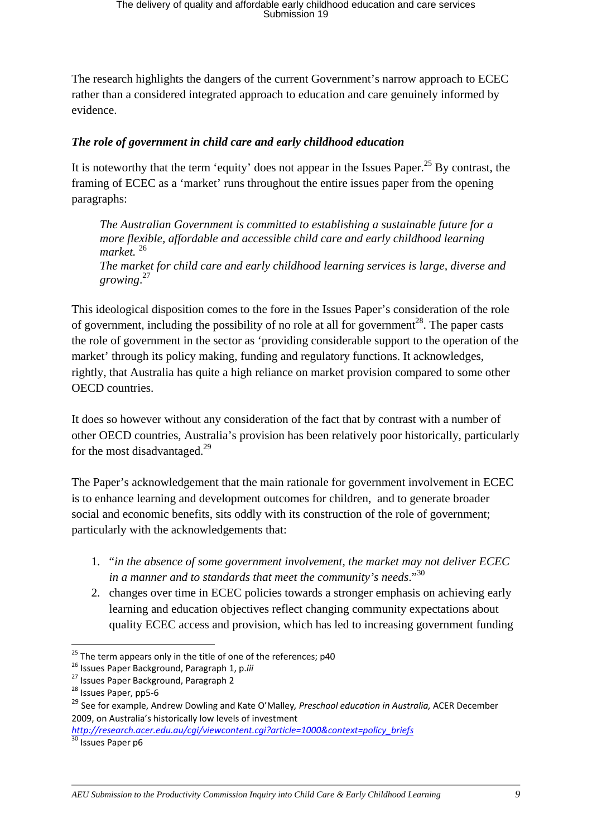The research highlights the dangers of the current Government's narrow approach to ECEC rather than a considered integrated approach to education and care genuinely informed by evidence.

#### *The role of government in child care and early childhood education*

It is noteworthy that the term 'equity' does not appear in the Issues Paper.<sup>25</sup> By contrast, the framing of ECEC as a 'market' runs throughout the entire issues paper from the opening paragraphs:

*The Australian Government is committed to establishing a sustainable future for a more flexible, affordable and accessible child care and early childhood learning market.* <sup>26</sup> *The market for child care and early childhood learning services is large, diverse and growing*. 27

This ideological disposition comes to the fore in the Issues Paper's consideration of the role of government, including the possibility of no role at all for government<sup>28</sup>. The paper casts the role of government in the sector as 'providing considerable support to the operation of the market' through its policy making, funding and regulatory functions. It acknowledges, rightly, that Australia has quite a high reliance on market provision compared to some other OECD countries.

It does so however without any consideration of the fact that by contrast with a number of other OECD countries, Australia's provision has been relatively poor historically, particularly for the most disadvantaged. $^{29}$ 

The Paper's acknowledgement that the main rationale for government involvement in ECEC is to enhance learning and development outcomes for children, and to generate broader social and economic benefits, sits oddly with its construction of the role of government; particularly with the acknowledgements that:

- 1. "*in the absence of some government involvement, the market may not deliver ECEC in a manner and to standards that meet the community's needs*."30
- 2. changes over time in ECEC policies towards a stronger emphasis on achieving early learning and education objectives reflect changing community expectations about quality ECEC access and provision, which has led to increasing government funding

 <sup>25</sup> The term appears only in the title of one of the references; p40<br><sup>26</sup> Issues Paper Background, Paragraph 1, p.*iii*<br><sup>27</sup> Issues Paper Background, Paragraph 2<br><sup>28</sup> Issues Paper, pp5‐6

<sup>29</sup> See for example, Andrew Dowling and Kate O'Malley*, Preschool education in Australia,* ACER December 2009, on Australia's historically low levels of investment

*http://research.acer.edu.au/cgi/viewcontent.cgi?article=1000&context=policy\_briefs* <sup>30</sup> Issues Paper p6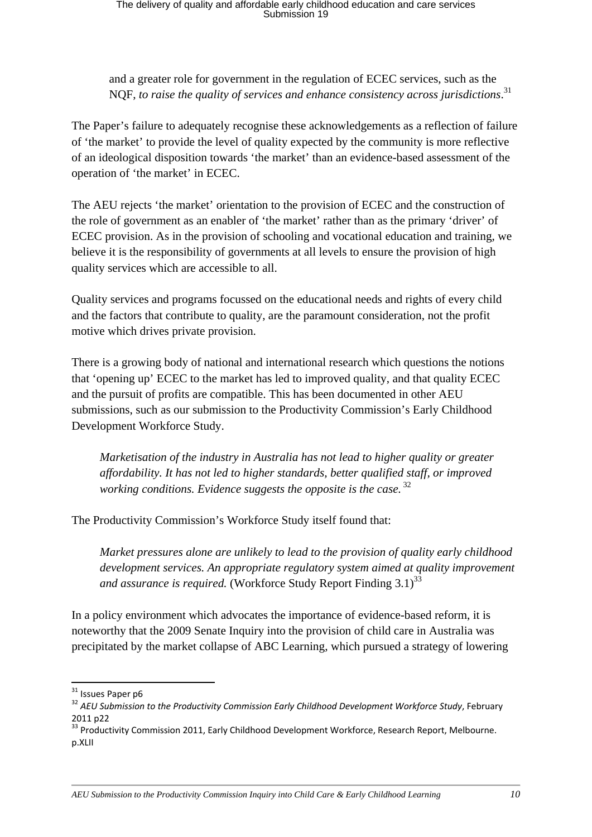and a greater role for government in the regulation of ECEC services, such as the NQF, *to raise the quality of services and enhance consistency across jurisdictions*. 31

The Paper's failure to adequately recognise these acknowledgements as a reflection of failure of 'the market' to provide the level of quality expected by the community is more reflective of an ideological disposition towards 'the market' than an evidence-based assessment of the operation of 'the market' in ECEC.

The AEU rejects 'the market' orientation to the provision of ECEC and the construction of the role of government as an enabler of 'the market' rather than as the primary 'driver' of ECEC provision. As in the provision of schooling and vocational education and training, we believe it is the responsibility of governments at all levels to ensure the provision of high quality services which are accessible to all.

Quality services and programs focussed on the educational needs and rights of every child and the factors that contribute to quality, are the paramount consideration, not the profit motive which drives private provision.

There is a growing body of national and international research which questions the notions that 'opening up' ECEC to the market has led to improved quality, and that quality ECEC and the pursuit of profits are compatible. This has been documented in other AEU submissions, such as our submission to the Productivity Commission's Early Childhood Development Workforce Study.

*Marketisation of the industry in Australia has not lead to higher quality or greater affordability. It has not led to higher standards, better qualified staff, or improved working conditions. Evidence suggests the opposite is the case.*<sup>32</sup>

The Productivity Commission's Workforce Study itself found that:

*Market pressures alone are unlikely to lead to the provision of quality early childhood development services. An appropriate regulatory system aimed at quality improvement and assurance is required.* (Workforce Study Report Finding  $3.1$ )<sup>33</sup>

In a policy environment which advocates the importance of evidence-based reform, it is noteworthy that the 2009 Senate Inquiry into the provision of child care in Australia was precipitated by the market collapse of ABC Learning, which pursued a strategy of lowering

<sup>31</sup> Issues Paper p6 <sup>32</sup> *AEU Submission to the Productivity Commission Early Childhood Development Workforce Study*, February 2011 p22<br><sup>33</sup> Productivity Commission 2011, Early Childhood Development Workforce, Research Report, Melbourne.

p.XLII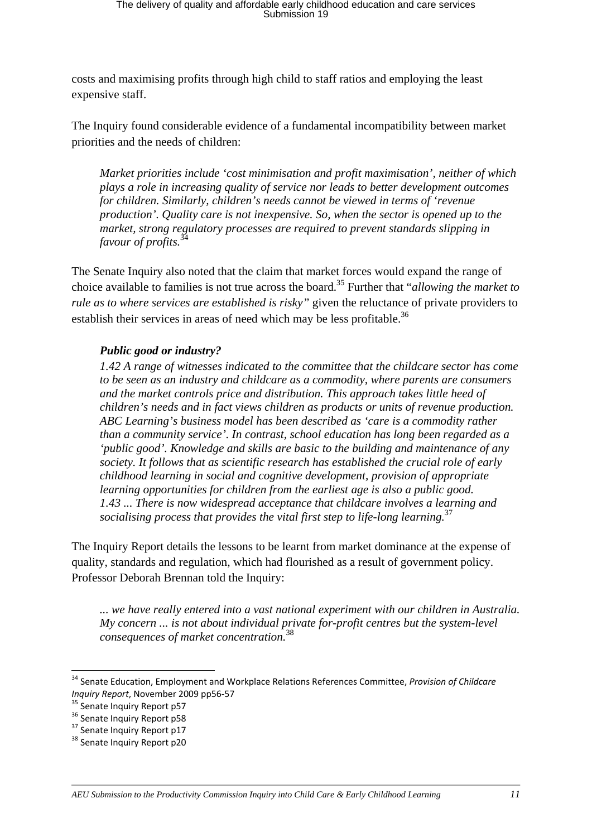costs and maximising profits through high child to staff ratios and employing the least expensive staff.

The Inquiry found considerable evidence of a fundamental incompatibility between market priorities and the needs of children:

*Market priorities include 'cost minimisation and profit maximisation', neither of which plays a role in increasing quality of service nor leads to better development outcomes for children. Similarly, children's needs cannot be viewed in terms of 'revenue production'. Quality care is not inexpensive. So, when the sector is opened up to the market, strong regulatory processes are required to prevent standards slipping in favour of profits.*<sup>5</sup>

The Senate Inquiry also noted that the claim that market forces would expand the range of choice available to families is not true across the board.35 Further that "*allowing the market to rule as to where services are established is risky"* given the reluctance of private providers to establish their services in areas of need which may be less profitable.<sup>36</sup>

#### *Public good or industry?*

*1.42 A range of witnesses indicated to the committee that the childcare sector has come to be seen as an industry and childcare as a commodity, where parents are consumers and the market controls price and distribution. This approach takes little heed of children's needs and in fact views children as products or units of revenue production. ABC Learning's business model has been described as 'care is a commodity rather than a community service'. In contrast, school education has long been regarded as a 'public good'. Knowledge and skills are basic to the building and maintenance of any society. It follows that as scientific research has established the crucial role of early childhood learning in social and cognitive development, provision of appropriate learning opportunities for children from the earliest age is also a public good. 1.43 ... There is now widespread acceptance that childcare involves a learning and socialising process that provides the vital first step to life-long learning.*<sup>37</sup>

The Inquiry Report details the lessons to be learnt from market dominance at the expense of quality, standards and regulation, which had flourished as a result of government policy. Professor Deborah Brennan told the Inquiry:

*... we have really entered into a vast national experiment with our children in Australia. My concern ... is not about individual private for-profit centres but the system-level consequences of market concentration.*<sup>38</sup>

 <sup>34</sup> Senate Education, Employment and Workplace Relations References Committee, *Provision of Childcare Inquiry Report*, November 2009 pp56-57<br><sup>35</sup> Senate Inquiry Report p57<br><sup>36</sup> Senate Inquiry Report p17<br><sup>38</sup> Senate Inquiry Report p20<br><sup>38</sup> Senate Inquiry Report p20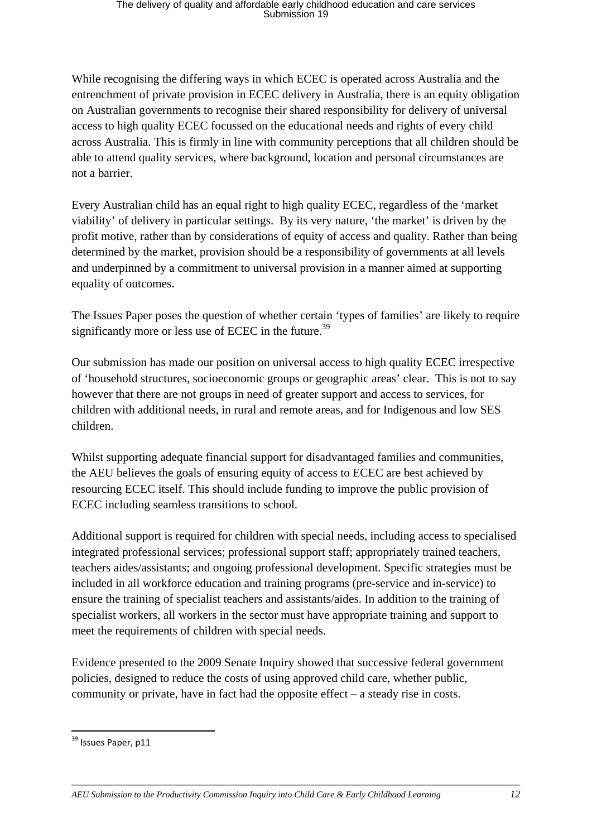While recognising the differing ways in which ECEC is operated across Australia and the entrenchment of private provision in ECEC delivery in Australia, there is an equity obligation on Australian governments to recognise their shared responsibility for delivery of universal access to high quality ECEC focussed on the educational needs and rights of every child across Australia. This is firmly in line with community perceptions that all children should be able to attend quality services, where background, location and personal circumstances are not a barrier.

Every Australian child has an equal right to high quality ECEC, regardless of the 'market viability' of delivery in particular settings. By its very nature, 'the market' is driven by the profit motive, rather than by considerations of equity of access and quality. Rather than being determined by the market, provision should be a responsibility of governments at all levels and underpinned by a commitment to universal provision in a manner aimed at supporting equality of outcomes.

The Issues Paper poses the question of whether certain 'types of families' are likely to require significantly more or less use of ECEC in the future.<sup>39</sup>

Our submission has made our position on universal access to high quality ECEC irrespective of 'household structures, socioeconomic groups or geographic areas' clear. This is not to say however that there are not groups in need of greater support and access to services, for children with additional needs, in rural and remote areas, and for Indigenous and low SES children.

Whilst supporting adequate financial support for disadvantaged families and communities, the AEU believes the goals of ensuring equity of access to ECEC are best achieved by resourcing ECEC itself. This should include funding to improve the public provision of ECEC including seamless transitions to school.

Additional support is required for children with special needs, including access to specialised integrated professional services; professional support staff; appropriately trained teachers, teachers aides/assistants; and ongoing professional development. Specific strategies must be included in all workforce education and training programs (pre-service and in-service) to ensure the training of specialist teachers and assistants/aides. In addition to the training of specialist workers, all workers in the sector must have appropriate training and support to meet the requirements of children with special needs.

Evidence presented to the 2009 Senate Inquiry showed that successive federal government policies, designed to reduce the costs of using approved child care, whether public, community or private, have in fact had the opposite effect – a steady rise in costs.

 <sup>39</sup> Issues Paper, p11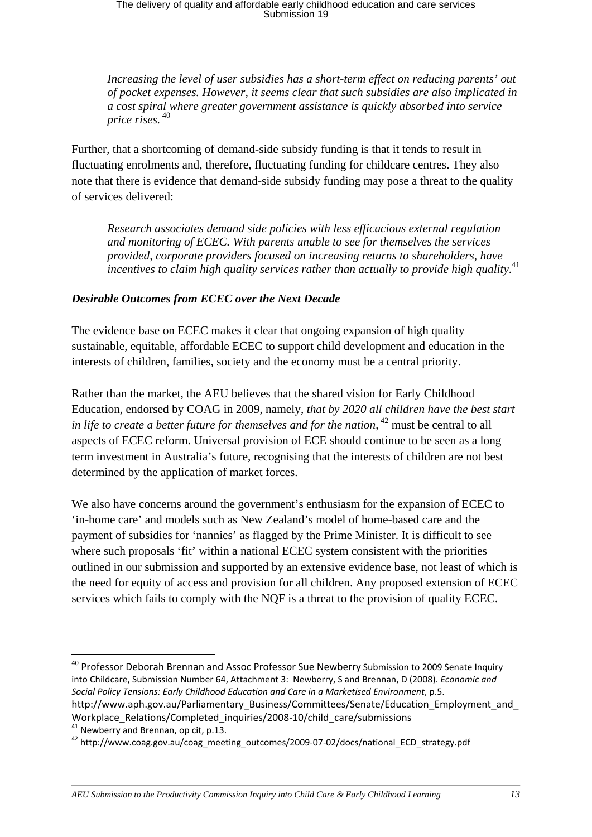## The delivery of quality and affordable early childhood education and care services<br>Submission 19

*Increasing the level of user subsidies has a short-term effect on reducing parents' out of pocket expenses. However, it seems clear that such subsidies are also implicated in a cost spiral where greater government assistance is quickly absorbed into service price rises.*<sup>40</sup>

Further, that a shortcoming of demand-side subsidy funding is that it tends to result in fluctuating enrolments and, therefore, fluctuating funding for childcare centres. They also note that there is evidence that demand-side subsidy funding may pose a threat to the quality of services delivered:

*Research associates demand side policies with less efficacious external regulation and monitoring of ECEC. With parents unable to see for themselves the services provided, corporate providers focused on increasing returns to shareholders, have incentives to claim high quality services rather than actually to provide high quality*. 41

#### *Desirable Outcomes from ECEC over the Next Decade*

The evidence base on ECEC makes it clear that ongoing expansion of high quality sustainable, equitable, affordable ECEC to support child development and education in the interests of children, families, society and the economy must be a central priority.

Rather than the market, the AEU believes that the shared vision for Early Childhood Education, endorsed by COAG in 2009, namely, *that by 2020 all children have the best start in life to create a better future for themselves and for the nation*, <sup>42</sup> must be central to all aspects of ECEC reform. Universal provision of ECE should continue to be seen as a long term investment in Australia's future, recognising that the interests of children are not best determined by the application of market forces.

We also have concerns around the government's enthusiasm for the expansion of ECEC to 'in-home care' and models such as New Zealand's model of home-based care and the payment of subsidies for 'nannies' as flagged by the Prime Minister. It is difficult to see where such proposals 'fit' within a national ECEC system consistent with the priorities outlined in our submission and supported by an extensive evidence base, not least of which is the need for equity of access and provision for all children. Any proposed extension of ECEC services which fails to comply with the NQF is a threat to the provision of quality ECEC.

<sup>&</sup>lt;sup>40</sup> Professor Deborah Brennan and Assoc Professor Sue Newberry Submission to 2009 Senate Inquiry into Childcare, Submission Number 64, Attachment 3: Newberry, S and Brennan, D (2008). *Economic and Social Policy Tensions: Early Childhood Education and Care in a Marketised Environment*, p.5. http://www.aph.gov.au/Parliamentary\_Business/Committees/Senate/Education\_Employment\_and

Workplace\_Relations/Completed\_inquiries/2008-10/child\_care/submissions<br><sup>41</sup> Newberry and Brennan, op cit, p.13.<br><sup>42</sup> http://www.coag.gov.au/coag\_meeting\_outcomes/2009-07-02/docs/national\_ECD\_strategy.pdf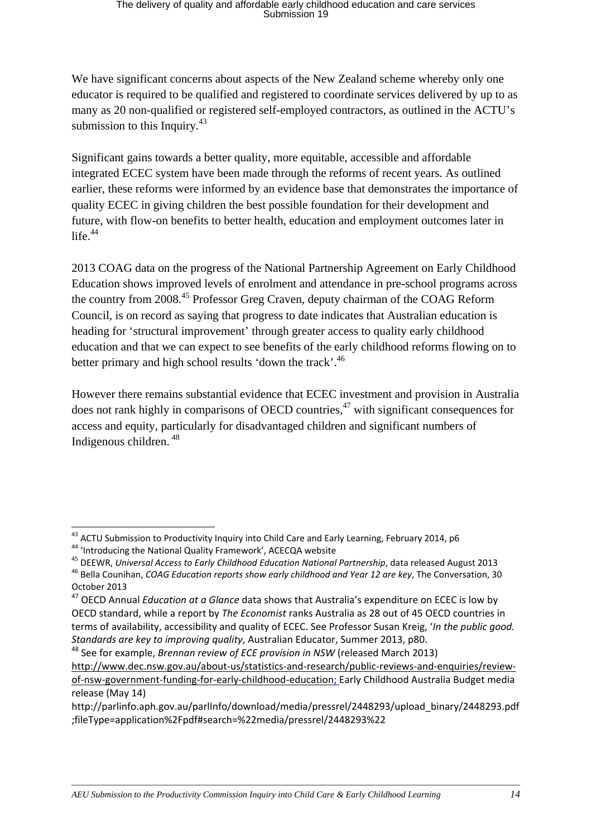We have significant concerns about aspects of the New Zealand scheme whereby only one educator is required to be qualified and registered to coordinate services delivered by up to as many as 20 non-qualified or registered self-employed contractors, as outlined in the ACTU's submission to this Inquiry. $43$ 

Significant gains towards a better quality, more equitable, accessible and affordable integrated ECEC system have been made through the reforms of recent years. As outlined earlier, these reforms were informed by an evidence base that demonstrates the importance of quality ECEC in giving children the best possible foundation for their development and future, with flow-on benefits to better health, education and employment outcomes later in life. $44$ 

2013 COAG data on the progress of the National Partnership Agreement on Early Childhood Education shows improved levels of enrolment and attendance in pre-school programs across the country from 2008.45 Professor Greg Craven, deputy chairman of the COAG Reform Council, is on record as saying that progress to date indicates that Australian education is heading for 'structural improvement' through greater access to quality early childhood education and that we can expect to see benefits of the early childhood reforms flowing on to better primary and high school results 'down the track'.<sup>46</sup>

However there remains substantial evidence that ECEC investment and provision in Australia does not rank highly in comparisons of OECD countries*,* <sup>47</sup> with significant consequences for access and equity, particularly for disadvantaged children and significant numbers of Indigenous children.<sup>48</sup>

<sup>&</sup>lt;sup>43</sup> ACTU Submission to Productivity Inquiry into Child Care and Early Learning, February 2014, p6

<sup>&</sup>lt;sup>44</sup> 'Introducing the National Quality Framework', ACECQA website<br><sup>45</sup> DEEWR, *Universal Access to Early Childhood Education National Partnership*, data released August 2013<br><sup>46</sup> Bella Counihan, *COAG Education reports sho* 

October 2013

<sup>47</sup> OECD Annual *Education at a Glance* data shows that Australia's expenditure on ECEC is low by OECD standard, while a report by *The Economist* ranks Australia as 28 out of 45 OECD countries in terms of availability, accessibility and quality of ECEC. See Professor Susan Kreig, '*In the public good. Standards are key to improving quality*, Australian Educator, Summer 2013, p80.

<sup>48</sup> See for example, *Brennan review of ECE provision in NSW* (released March 2013)

http://www.dec.nsw.gov.au/about-us/statistics-and-research/public-reviews-and-enquiries/reviewof‐nsw‐government‐funding‐for‐early‐childhood‐education; Early Childhood Australia Budget media release (May 14)

http://parlinfo.aph.gov.au/parlInfo/download/media/pressrel/2448293/upload\_binary/2448293.pdf ;fileType=application%2Fpdf#search=%22media/pressrel/2448293%22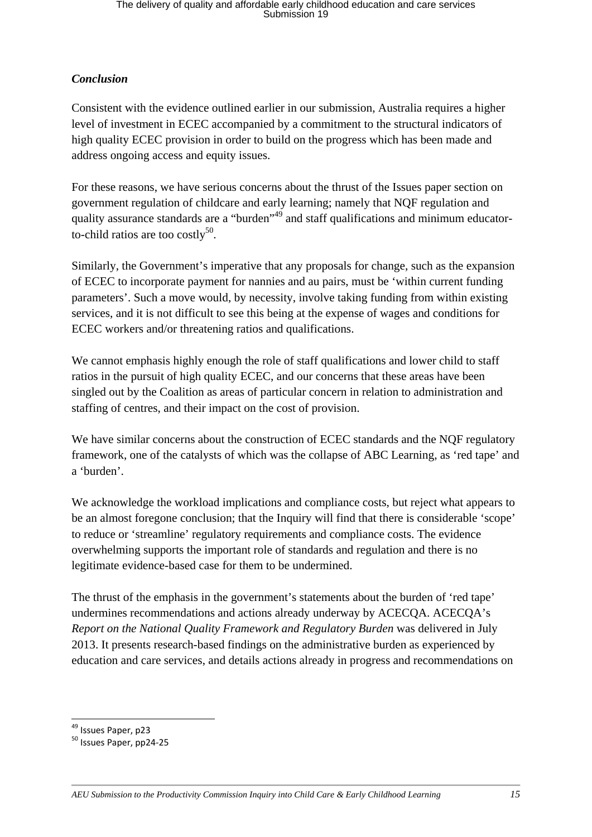### *Conclusion*

Consistent with the evidence outlined earlier in our submission, Australia requires a higher level of investment in ECEC accompanied by a commitment to the structural indicators of high quality ECEC provision in order to build on the progress which has been made and address ongoing access and equity issues.

For these reasons, we have serious concerns about the thrust of the Issues paper section on government regulation of childcare and early learning; namely that NQF regulation and quality assurance standards are a "burden"49 and staff qualifications and minimum educatorto-child ratios are too costly<sup>50</sup>.

Similarly, the Government's imperative that any proposals for change, such as the expansion of ECEC to incorporate payment for nannies and au pairs, must be 'within current funding parameters'. Such a move would, by necessity, involve taking funding from within existing services, and it is not difficult to see this being at the expense of wages and conditions for ECEC workers and/or threatening ratios and qualifications.

We cannot emphasis highly enough the role of staff qualifications and lower child to staff ratios in the pursuit of high quality ECEC, and our concerns that these areas have been singled out by the Coalition as areas of particular concern in relation to administration and staffing of centres, and their impact on the cost of provision.

We have similar concerns about the construction of ECEC standards and the NQF regulatory framework, one of the catalysts of which was the collapse of ABC Learning, as 'red tape' and a 'burden'.

We acknowledge the workload implications and compliance costs, but reject what appears to be an almost foregone conclusion; that the Inquiry will find that there is considerable 'scope' to reduce or 'streamline' regulatory requirements and compliance costs. The evidence overwhelming supports the important role of standards and regulation and there is no legitimate evidence-based case for them to be undermined.

The thrust of the emphasis in the government's statements about the burden of 'red tape' undermines recommendations and actions already underway by ACECQA. ACECQA's *Report on the National Quality Framework and Regulatory Burden* was delivered in July 2013. It presents research-based findings on the administrative burden as experienced by education and care services, and details actions already in progress and recommendations on

 $^{49}$  Issues Paper, p23<br> $^{50}$  Issues Paper, pp24-25